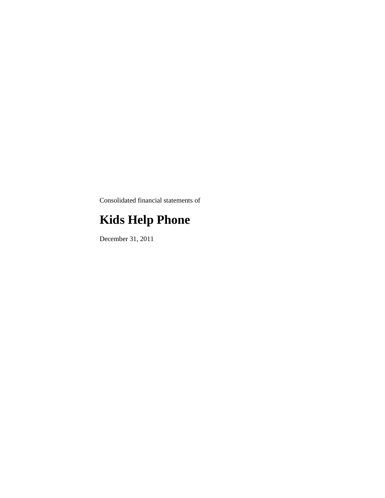Consolidated financial statements of

# **Kids Help Phone**

December 31, 2011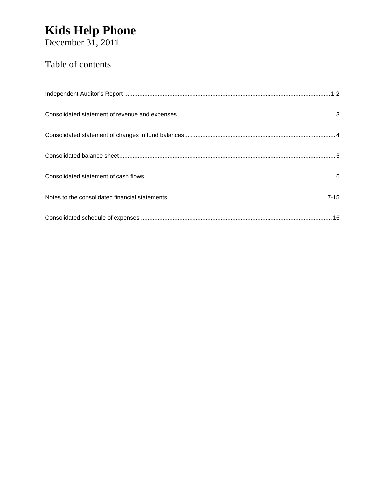# Kids Help Phone<br>December 31, 2011

### Table of contents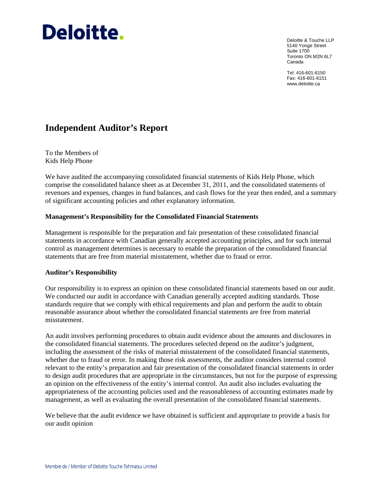# Deloitte.

Deloitte & Touche LLP 5140 Yonge Street Suite 1700 Toronto ON M2N 6L7 Canada

Tel: 416-601-6150 Fax: 416-601-6151 www.deloitte.ca

### **Independent Auditor's Report**

To the Members of Kids Help Phone

We have audited the accompanying consolidated financial statements of Kids Help Phone, which comprise the consolidated balance sheet as at December 31, 2011, and the consolidated statements of revenues and expenses, changes in fund balances, and cash flows for the year then ended, and a summary of significant accounting policies and other explanatory information.

#### **Management's Responsibility for the Consolidated Financial Statements**

Management is responsible for the preparation and fair presentation of these consolidated financial statements in accordance with Canadian generally accepted accounting principles, and for such internal control as management determines is necessary to enable the preparation of the consolidated financial statements that are free from material misstatement, whether due to fraud or error.

#### **Auditor's Responsibility**

Our responsibility is to express an opinion on these consolidated financial statements based on our audit. We conducted our audit in accordance with Canadian generally accepted auditing standards. Those standards require that we comply with ethical requirements and plan and perform the audit to obtain reasonable assurance about whether the consolidated financial statements are free from material misstatement.

An audit involves performing procedures to obtain audit evidence about the amounts and disclosures in the consolidated financial statements. The procedures selected depend on the auditor's judgment, including the assessment of the risks of material misstatement of the consolidated financial statements, whether due to fraud or error. In making those risk assessments, the auditor considers internal control relevant to the entity's preparation and fair presentation of the consolidated financial statements in order to design audit procedures that are appropriate in the circumstances, but not for the purpose of expressing an opinion on the effectiveness of the entity's internal control. An audit also includes evaluating the appropriateness of the accounting policies used and the reasonableness of accounting estimates made by management, as well as evaluating the overall presentation of the consolidated financial statements.

We believe that the audit evidence we have obtained is sufficient and appropriate to provide a basis for our audit opinion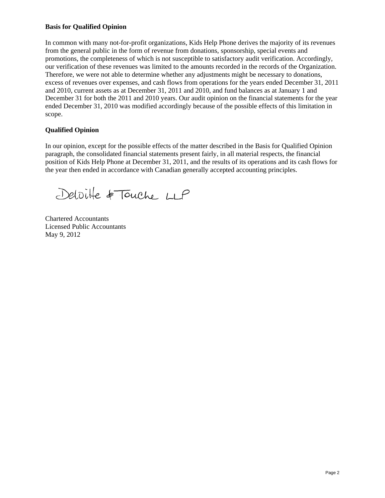#### **Basis for Qualified Opinion**

In common with many not-for-profit organizations, Kids Help Phone derives the majority of its revenues from the general public in the form of revenue from donations, sponsorship, special events and promotions, the completeness of which is not susceptible to satisfactory audit verification. Accordingly, our verification of these revenues was limited to the amounts recorded in the records of the Organization. Therefore, we were not able to determine whether any adjustments might be necessary to donations, excess of revenues over expenses, and cash flows from operations for the years ended December 31, 2011 and 2010, current assets as at December 31, 2011 and 2010, and fund balances as at January 1 and December 31 for both the 2011 and 2010 years. Our audit opinion on the financial statements for the year ended December 31, 2010 was modified accordingly because of the possible effects of this limitation in scope.

#### **Qualified Opinion**

In our opinion, except for the possible effects of the matter described in the Basis for Qualified Opinion paragraph, the consolidated financial statements present fairly, in all material respects, the financial position of Kids Help Phone at December 31, 2011, and the results of its operations and its cash flows for the year then ended in accordance with Canadian generally accepted accounting principles.

Deloite & Touche LLP

Chartered Accountants Licensed Public Accountants May 9, 2012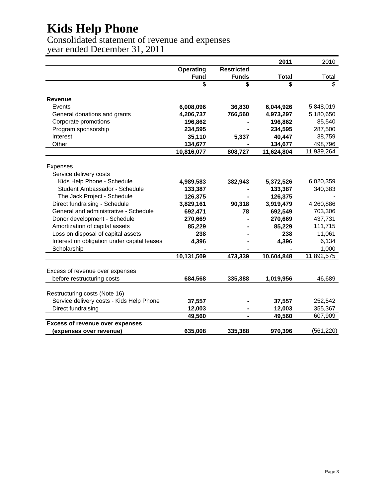Consolidated statement of revenue and expenses year ended December 31, 2011

**2011** 2010 **Operating Restricted Fund Funds Total** Total **\$\$\$** \$ **Revenue** Events **36,830 6,008,096 6,044,926** 5,848,019 General donations and grants **766,560 4,206,737 4,973,297** 5,180,650 Corporate promotions **- 196,862 196,862** 85,540 Program sponsorship **- 234,595 234,595** 287,500 Interest **5,337 35,110 40,447** 38,759 Other **- 134,677 134,677** 498,796 **10,816,077 808,727 11,624,804** 11,939,264 Expenses Service delivery costs Kids Help Phone - Schedule **382,943 4,989,583 5,372,526** 6,020,359 Student Ambassador - Schedule **- 133,387 133,387** 340,383 The Jack Project - Schedule **126,375 126,375** Direct fundraising - Schedule **90,318 3,829,161 3,919,479** 4,260,886 General and administrative - Schedule **78 692,471 692,549** 703,306 Donor development - Schedule **- 270,669 270,669** 437,731 Amortization of capital assets **- 85,229 85,229** 111,715 Loss on disposal of capital assets **- 238 238** 11,061 Interest on obligation under capital leases **- 4,396 4,396** 6,134 Scholarship **- - -** 1,000 **10,131,509 473,339 10,604,848** 11,892,575 Excess of revenue over expenses before restructuring costs **335,388 684,568 1,019,956** 46,689 Restructuring costs (Note 16) Service delivery costs - Kids Help Phone **- 37,557 37,557** 252,542 Direct fundraising **- 12,003 12,003** 355,367  **- 49,560 49,560** 607,909 **Excess of revenue over expenses (expenses over revenue) 335,388 635,008 970,396** (561,220)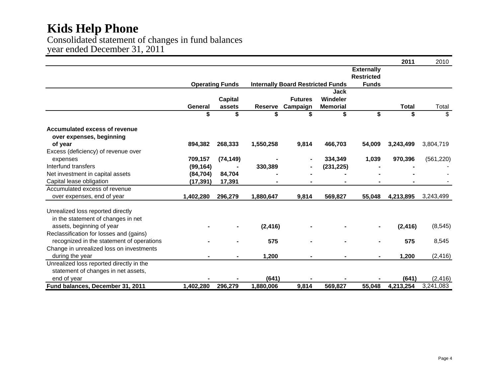Consolidated statement of changes in fund balances year ended December 31, 2011

|                                                           |           |                        |                |                                          |                 |                   | 2011      | 2010       |
|-----------------------------------------------------------|-----------|------------------------|----------------|------------------------------------------|-----------------|-------------------|-----------|------------|
|                                                           |           |                        |                |                                          |                 | <b>Externally</b> |           |            |
|                                                           |           |                        |                |                                          |                 | <b>Restricted</b> |           |            |
|                                                           |           | <b>Operating Funds</b> |                | <b>Internally Board Restricted Funds</b> |                 | <b>Funds</b>      |           |            |
|                                                           |           |                        |                |                                          | <b>Jack</b>     |                   |           |            |
|                                                           |           | <b>Capital</b>         |                | <b>Futures</b>                           | Windeler        |                   |           |            |
|                                                           | General   | assets                 | <b>Reserve</b> | Campaign                                 | <b>Memorial</b> |                   | Total     | Total      |
|                                                           | \$        | \$                     | \$             | \$                                       | \$              | \$                | \$        | \$         |
| Accumulated excess of revenue<br>over expenses, beginning |           |                        |                |                                          |                 |                   |           |            |
| of year                                                   | 894,382   | 268,333                | 1,550,258      | 9,814                                    | 466,703         | 54,009            | 3,243,499 | 3,804,719  |
| Excess (deficiency) of revenue over                       |           |                        |                |                                          |                 |                   |           |            |
| expenses                                                  | 709,157   | (74, 149)              |                |                                          | 334,349         | 1,039             | 970,396   | (561, 220) |
| Interfund transfers                                       | (99, 164) |                        | 330,389        |                                          | (231, 225)      |                   |           |            |
| Net investment in capital assets                          | (84, 704) | 84,704                 |                |                                          |                 |                   |           |            |
| Capital lease obligation                                  | (17, 391) | 17,391                 |                |                                          |                 |                   |           |            |
| Accumulated excess of revenue                             |           |                        |                |                                          |                 |                   |           |            |
| over expenses, end of year                                | 1,402,280 | 296,279                | 1,880,647      | 9,814                                    | 569,827         | 55,048            | 4,213,895 | 3,243,499  |
| Unrealized loss reported directly                         |           |                        |                |                                          |                 |                   |           |            |
| in the statement of changes in net                        |           |                        |                |                                          |                 |                   |           |            |
| assets, beginning of year                                 |           |                        | (2, 416)       |                                          |                 | $\blacksquare$    | (2, 416)  | (8, 545)   |
| Reclassification for losses and (gains)                   |           |                        |                |                                          |                 |                   |           |            |
| recognized in the statement of operations                 |           |                        | 575            |                                          |                 | ۰                 | 575       | 8,545      |
| Change in unrealized loss on investments                  |           |                        |                |                                          |                 |                   |           |            |
| during the year                                           |           |                        | 1,200          |                                          |                 | ۰                 | 1,200     | (2, 416)   |
| Unrealized loss reported directly in the                  |           |                        |                |                                          |                 |                   |           |            |
| statement of changes in net assets,                       |           |                        |                |                                          |                 |                   |           |            |
| end of year                                               |           |                        | (641)          |                                          |                 |                   | (641)     | (2, 416)   |
| Fund balances, December 31, 2011                          | 1,402,280 | 296,279                | 1,880,006      | 9,814                                    | 569,827         | 55,048            | 4,213,254 | 3,241,083  |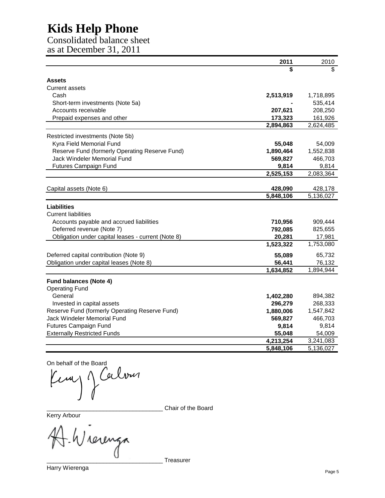Consolidated balance sheet as at December 31, 2011

|                                                    | 2011      | 2010                   |
|----------------------------------------------------|-----------|------------------------|
|                                                    | \$        | \$.                    |
| <b>Assets</b>                                      |           |                        |
| <b>Current assets</b>                              |           |                        |
| Cash                                               | 2,513,919 | 1,718,895              |
| Short-term investments (Note 5a)                   |           | 535,414                |
| Accounts receivable                                | 207,621   | 208,250                |
| Prepaid expenses and other                         | 173,323   | 161,926                |
|                                                    | 2,894,863 | $\overline{2,}624,485$ |
| Restricted investments (Note 5b)                   |           |                        |
| Kyra Field Memorial Fund                           | 55,048    | 54,009                 |
| Reserve Fund (formerly Operating Reserve Fund)     | 1,890,464 | 1,552,838              |
| Jack Windeler Memorial Fund                        | 569,827   | 466,703                |
| <b>Futures Campaign Fund</b>                       | 9,814     | 9,814                  |
|                                                    | 2,525,153 | 2,083,364              |
|                                                    |           |                        |
| Capital assets (Note 6)                            | 428,090   | 428,178                |
|                                                    | 5,848,106 | 5,136,027              |
| Liabilities                                        |           |                        |
| <b>Current liabilities</b>                         |           |                        |
| Accounts payable and accrued liabilities           | 710,956   | 909,444                |
| Deferred revenue (Note 7)                          | 792,085   | 825,655                |
| Obligation under capital leases - current (Note 8) | 20,281    | 17,981                 |
|                                                    | 1,523,322 | 1,753,080              |
| Deferred capital contribution (Note 9)             | 55,089    | 65,732                 |
| Obligation under capital leases (Note 8)           | 56,441    | 76,132                 |
|                                                    | 1,634,852 | 1,894,944              |
| <b>Fund balances (Note 4)</b>                      |           |                        |
| <b>Operating Fund</b>                              |           |                        |
| General                                            | 1,402,280 | 894,382                |
| Invested in capital assets                         | 296,279   | 268,333                |
| Reserve Fund (formerly Operating Reserve Fund)     | 1,880,006 | 1,547,842              |
| <b>Jack Windeler Memorial Fund</b>                 | 569,827   | 466,703                |
| Futures Campaign Fund                              | 9,814     | 9,814                  |
| <b>Externally Restricted Funds</b>                 | 55,048    | 54,009                 |
|                                                    | 4,213,254 | $\overline{3,}241,083$ |
|                                                    | 5,848,106 | 5,136,027              |

On behalf of the Board<br> $\mu$  of  $\alpha$ Kemp 1

\_\_\_\_\_\_\_\_\_\_\_\_\_\_\_\_\_\_\_\_\_\_\_\_\_\_\_\_\_\_\_\_\_\_\_ Chair of the Board

Kerry Arbour

rerenza

\_\_\_\_\_\_\_\_\_\_\_\_\_\_\_\_\_\_\_\_\_\_\_\_\_\_\_\_\_\_\_\_\_\_\_ Treasurer Harry Wierenga Page 5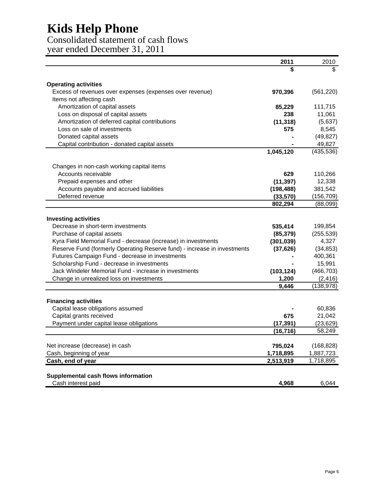Consolidated statement of cash flows year ended December 31, 2011

|                                                                          | 2011                 | 2010                    |
|--------------------------------------------------------------------------|----------------------|-------------------------|
|                                                                          |                      |                         |
| <b>Operating activities</b>                                              |                      |                         |
| Excess of revenues over expenses (expenses over revenue)                 | 970,396              | (561, 220)              |
| Items not affecting cash                                                 |                      |                         |
| Amortization of capital assets                                           | 85,229               | 111,715                 |
| Loss on disposal of capital assets                                       | 238                  | 11,061                  |
| Amortization of deferred capital contributions                           | (11, 318)            | (5,637)                 |
| Loss on sale of investments                                              | 575                  | 8,545                   |
| Donated capital assets                                                   |                      | (49, 827)               |
| Capital contribution - donated capital assets                            |                      | 49,827                  |
|                                                                          | 1,045,120            | (435, 536)              |
| Changes in non-cash working capital items                                |                      |                         |
| Accounts receivable                                                      | 629                  | 110,266                 |
| Prepaid expenses and other                                               | (11, 397)            | 12,338                  |
| Accounts payable and accrued liabilities                                 | (198, 488)           | 381,542                 |
| Deferred revenue                                                         | (33,570)             | (156, 709)              |
|                                                                          | 802,294              | (88,099)                |
|                                                                          |                      |                         |
| <b>Investing activities</b>                                              |                      |                         |
| Decrease in short-term investments                                       | 535,414              | 199,854                 |
| Purchase of capital assets                                               | (85, 379)            | (255, 539)              |
| Kyra Field Memorial Fund - decrease (increase) in investments            | (301, 039)           | 4,327                   |
| Reserve Fund (formerly Operating Reserve fund) - increase in investments | (37, 626)            | (34, 853)               |
| Futures Campaign Fund - decrease in investments                          |                      | 400,361                 |
| Scholarship Fund - decrease in investments                               |                      | 15,991                  |
| Jack Windeler Memorial Fund - increase in investments                    | (103, 124)           | (466, 703)              |
| Change in unrealized loss on investments                                 | 1,200                | (2, 416)                |
|                                                                          | 9,446                | (138, 978)              |
|                                                                          |                      |                         |
| <b>Financing activities</b>                                              |                      |                         |
| Capital lease obligations assumed                                        |                      | 60,836                  |
| Capital grants received                                                  | 675                  | 21,042                  |
| Payment under capital lease obligations                                  | (17, 391)            | (23, 629)               |
|                                                                          | (16, 716)            | 58,249                  |
|                                                                          |                      |                         |
| Net increase (decrease) in cash<br>Cash, beginning of year               | 795,024<br>1,718,895 | (168, 828)<br>1,887,723 |
| Cash, end of year                                                        | 2,513,919            | 1,718,895               |
|                                                                          |                      |                         |
| Supplemental cash flows information                                      |                      |                         |
| Cash interest paid                                                       | 4,968                | 6,044                   |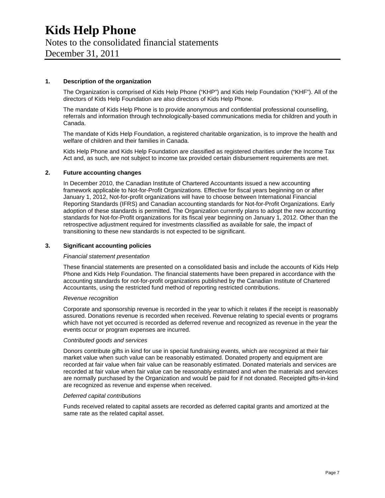### Notes to the consolidated financial statements

December 31, 2011

#### **1. Description of the organization**

The Organization is comprised of Kids Help Phone ("KHP") and Kids Help Foundation ("KHF"). All of the directors of Kids Help Foundation are also directors of Kids Help Phone.

The mandate of Kids Help Phone is to provide anonymous and confidential professional counselling, referrals and information through technologically-based communications media for children and youth in Canada.

The mandate of Kids Help Foundation, a registered charitable organization, is to improve the health and welfare of children and their families in Canada.

Kids Help Phone and Kids Help Foundation are classified as registered charities under the Income Tax Act and, as such, are not subject to income tax provided certain disbursement requirements are met.

#### **2. Future accounting changes**

In December 2010, the Canadian Institute of Chartered Accountants issued a new accounting framework applicable to Not-for-Profit Organizations. Effective for fiscal years beginning on or after January 1, 2012, Not-for-profit organizations will have to choose between International Financial Reporting Standards (IFRS) and Canadian accounting standards for Not-for-Profit Organizations. Early adoption of these standards is permitted. The Organization currently plans to adopt the new accounting standards for Not-for-Profit organizations for its fiscal year beginning on January 1, 2012. Other than the retrospective adjustment required for investments classified as available for sale, the impact of transitioning to these new standards is not expected to be significant.

#### **3. Significant accounting policies**

#### *Financial statement presentation*

These financial statements are presented on a consolidated basis and include the accounts of Kids Help Phone and Kids Help Foundation. The financial statements have been prepared in accordance with the accounting standards for not-for-profit organizations published by the Canadian Institute of Chartered Accountants, using the restricted fund method of reporting restricted contributions.

#### *Revenue recognition*

Corporate and sponsorship revenue is recorded in the year to which it relates if the receipt is reasonably assured. Donations revenue is recorded when received. Revenue relating to special events or programs which have not yet occurred is recorded as deferred revenue and recognized as revenue in the year the events occur or program expenses are incurred.

#### *Contributed goods and services*

Donors contribute gifts in kind for use in special fundraising events, which are recognized at their fair market value when such value can be reasonably estimated. Donated property and equipment are recorded at fair value when fair value can be reasonably estimated. Donated materials and services are recorded at fair value when fair value can be reasonably estimated and when the materials and services are normally purchased by the Organization and would be paid for if not donated. Receipted gifts-in-kind are recognized as revenue and expense when received.

#### *Deferred capital contributions*

Funds received related to capital assets are recorded as deferred capital grants and amortized at the same rate as the related capital asset.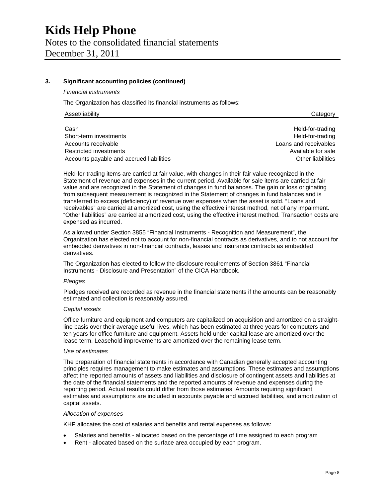### **Kids Help Phone**  Notes to the consolidated financial statements December 31, 2011

#### **3. Significant accounting policies (continued)**

*Financial instruments* 

The Organization has classified its financial instruments as follows:

| Asset/liability | Category |
|-----------------|----------|
|-----------------|----------|

Cash Held-for-trading Short-term investments **Example 20** Short-term investments and the example of the example of the example of the example of the example of the example of the example of the example of the example of the example of the examp Accounts receivable **Loans and receivables** Restricted investments **Available for sale** Available for sale Accounts payable and accrued liabilities **Accounts and accrued liabilities Other liabilities Other liabilities** 

Held-for-trading items are carried at fair value, with changes in their fair value recognized in the Statement of revenue and expenses in the current period. Available for sale items are carried at fair value and are recognized in the Statement of changes in fund balances. The gain or loss originating from subsequent measurement is recognized in the Statement of changes in fund balances and is transferred to excess (deficiency) of revenue over expenses when the asset is sold. "Loans and receivables" are carried at amortized cost, using the effective interest method, net of any impairment. "Other liabilities" are carried at amortized cost, using the effective interest method. Transaction costs are expensed as incurred.

As allowed under Section 3855 "Financial Instruments - Recognition and Measurement", the Organization has elected not to account for non-financial contracts as derivatives, and to not account for embedded derivatives in non-financial contracts, leases and insurance contracts as embedded derivatives.

The Organization has elected to follow the disclosure requirements of Section 3861 "Financial Instruments - Disclosure and Presentation" of the CICA Handbook.

#### *Pledges*

Pledges received are recorded as revenue in the financial statements if the amounts can be reasonably estimated and collection is reasonably assured.

#### *Capital assets*

Office furniture and equipment and computers are capitalized on acquisition and amortized on a straightline basis over their average useful lives, which has been estimated at three years for computers and ten years for office furniture and equipment. Assets held under capital lease are amortized over the lease term. Leasehold improvements are amortized over the remaining lease term.

#### *Use of estimates*

The preparation of financial statements in accordance with Canadian generally accepted accounting principles requires management to make estimates and assumptions. These estimates and assumptions affect the reported amounts of assets and liabilities and disclosure of contingent assets and liabilities at the date of the financial statements and the reported amounts of revenue and expenses during the reporting period. Actual results could differ from those estimates. Amounts requiring significant estimates and assumptions are included in accounts payable and accrued liabilities, and amortization of capital assets.

#### *Allocation of expenses*

KHP allocates the cost of salaries and benefits and rental expenses as follows:

- Salaries and benefits allocated based on the percentage of time assigned to each program
- Rent allocated based on the surface area occupied by each program.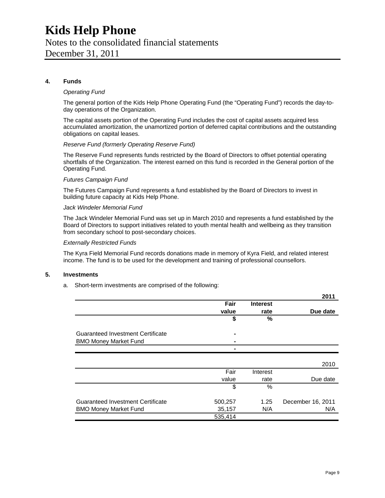# Notes to the consolidated financial statements

December 31, 2011

#### **4. Funds**

#### *Operating Fund*

The general portion of the Kids Help Phone Operating Fund (the "Operating Fund") records the day-today operations of the Organization.

The capital assets portion of the Operating Fund includes the cost of capital assets acquired less accumulated amortization, the unamortized portion of deferred capital contributions and the outstanding obligations on capital leases.

#### *Reserve Fund (formerly Operating Reserve Fund)*

The Reserve Fund represents funds restricted by the Board of Directors to offset potential operating shortfalls of the Organization. The interest earned on this fund is recorded in the General portion of the Operating Fund.

#### *Futures Campaign Fund*

The Futures Campaign Fund represents a fund established by the Board of Directors to invest in building future capacity at Kids Help Phone.

#### *Jack Windeler Memorial Fund*

The Jack Windeler Memorial Fund was set up in March 2010 and represents a fund established by the Board of Directors to support initiatives related to youth mental health and wellbeing as they transition from secondary school to post-secondary choices.

#### *Externally Restricted Funds*

The Kyra Field Memorial Fund records donations made in memory of Kyra Field, and related interest income. The fund is to be used for the development and training of professional counsellors.

#### **5. Investments**

a. Short-term investments are comprised of the following:

|                                          |                |                 | ZU 11             |
|------------------------------------------|----------------|-----------------|-------------------|
|                                          | Fair           | <b>Interest</b> |                   |
|                                          | value          | rate            | Due date          |
|                                          | \$             | %               |                   |
| <b>Guaranteed Investment Certificate</b> | $\blacksquare$ |                 |                   |
|                                          |                |                 |                   |
| <b>BMO Money Market Fund</b>             |                |                 |                   |
|                                          | -              |                 |                   |
|                                          |                |                 |                   |
|                                          |                |                 | 2010              |
|                                          | Fair           | Interest        |                   |
|                                          | value          | rate            | Due date          |
|                                          | \$             | %               |                   |
| <b>Guaranteed Investment Certificate</b> | 500,257        | 1.25            | December 16, 2011 |
| <b>BMO Money Market Fund</b>             | 35,157         | N/A             | N/A               |
|                                          | 535,414        |                 |                   |

**2011**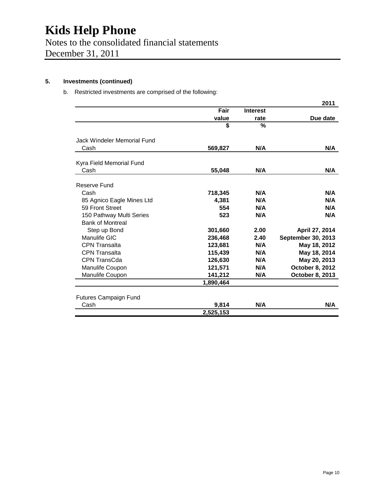### Notes to the consolidated financial statements December 31, 2011

#### **5. Investments (continued)**

#### b. Restricted investments are comprised of the following:

|                              |           |                 | 2011               |
|------------------------------|-----------|-----------------|--------------------|
|                              | Fair      | <b>Interest</b> |                    |
|                              | value     | rate            | Due date           |
|                              | \$        | $\frac{0}{0}$   |                    |
| Jack Windeler Memorial Fund  |           |                 |                    |
| Cash                         | 569,827   | N/A             | N/A                |
| Kyra Field Memorial Fund     |           |                 |                    |
| Cash                         | 55,048    | N/A             | N/A                |
| Reserve Fund                 |           |                 |                    |
| Cash                         | 718,345   | N/A             | N/A                |
| 85 Agnico Eagle Mines Ltd    | 4,381     | N/A             | N/A                |
| 59 Front Street              | 554       | N/A             | N/A                |
| 150 Pathway Multi Series     | 523       | N/A             | N/A                |
| <b>Bank of Montreal</b>      |           |                 |                    |
| Step up Bond                 | 301,660   | 2.00            | April 27, 2014     |
| Manulife GIC                 | 236,468   | 2.40            | September 30, 2013 |
| <b>CPN Transalta</b>         | 123,681   | N/A             | May 18, 2012       |
| <b>CPN Transalta</b>         | 115,439   | N/A             | May 18, 2014       |
| CPN TransCda                 | 126,630   | N/A             | May 20, 2013       |
| Manulife Coupon              | 121,571   | N/A             | October 8, 2012    |
| Manulife Coupon              | 141,212   | N/A             | October 8, 2013    |
|                              | 1,890,464 |                 |                    |
| <b>Futures Campaign Fund</b> |           |                 |                    |
| Cash                         | 9,814     | N/A             | N/A                |
|                              | 2,525,153 |                 |                    |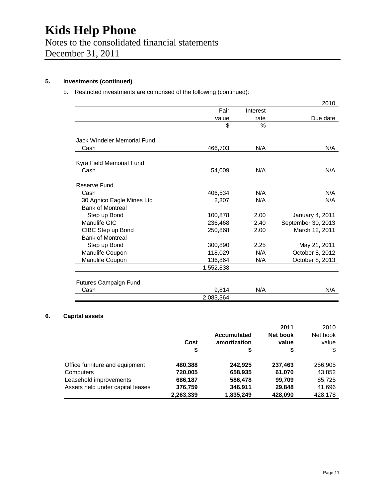### Notes to the consolidated financial statements December 31, 2011

**5. Investments (continued)** 

b. Restricted investments are comprised of the following (continued):

|                              |           |          | 2010               |
|------------------------------|-----------|----------|--------------------|
|                              | Fair      | Interest |                    |
|                              | value     | rate     | Due date           |
|                              | \$        | $\%$     |                    |
| Jack Windeler Memorial Fund  |           |          |                    |
| Cash                         | 466,703   | N/A      | N/A                |
| Kyra Field Memorial Fund     |           |          |                    |
| Cash                         | 54,009    | N/A      | N/A                |
| Reserve Fund                 |           |          |                    |
| Cash                         | 406,534   | N/A      | N/A                |
| 30 Agnico Eagle Mines Ltd    | 2,307     | N/A      | N/A                |
| <b>Bank of Montreal</b>      |           |          |                    |
| Step up Bond                 | 100,878   | 2.00     | January 4, 2011    |
| Manulife GIC                 | 236,468   | 2.40     | September 30, 2013 |
| CIBC Step up Bond            | 250,868   | 2.00     | March 12, 2011     |
| <b>Bank of Montreal</b>      |           |          |                    |
| Step up Bond                 | 300,890   | 2.25     | May 21, 2011       |
| Manulife Coupon              | 118,029   | N/A      | October 8, 2012    |
| Manulife Coupon              | 136,864   | N/A      | October 8, 2013    |
|                              | 1,552,838 |          |                    |
| <b>Futures Campaign Fund</b> |           |          |                    |
| Cash                         | 9,814     | N/A      | N/A                |
|                              | 2,083,364 |          |                    |

#### **6. Capital assets**

|                                  |           |                    | 2011     | 2010     |
|----------------------------------|-----------|--------------------|----------|----------|
|                                  |           | <b>Accumulated</b> | Net book | Net book |
|                                  | Cost      | amortization       | value    | value    |
|                                  | \$        | S                  | \$       | S        |
| Office furniture and equipment   | 480,388   | 242,925            | 237,463  | 256,905  |
| Computers                        | 720,005   | 658,935            | 61,070   | 43,852   |
| Leasehold improvements           | 686,187   | 586,478            | 99,709   | 85,725   |
| Assets held under capital leases | 376,759   | 346,911            | 29,848   | 41,696   |
|                                  | 2,263,339 | 1,835,249          | 428,090  | 428,178  |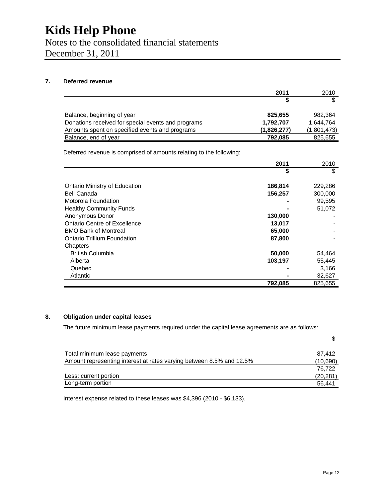Notes to the consolidated financial statements December 31, 2011

#### **7. Deferred revenue**

|                                                    | 2011        | 2010        |
|----------------------------------------------------|-------------|-------------|
|                                                    |             | \$          |
| Balance, beginning of year                         | 825,655     | 982.364     |
| Donations received for special events and programs | 1,792,707   | 1.644.764   |
| Amounts spent on specified events and programs     | (1,826,277) | (1,801,473) |
| Balance, end of year                               | 792,085     | 825,655     |

Deferred revenue is comprised of amounts relating to the following:

|                                    | 2011    | 2010    |
|------------------------------------|---------|---------|
|                                    | \$      | \$      |
| Ontario Ministry of Education      | 186,814 | 229,286 |
| Bell Canada                        | 156,257 | 300,000 |
| Motorola Foundation                |         | 99,595  |
| <b>Healthy Community Funds</b>     |         | 51,072  |
| Anonymous Donor                    | 130,000 |         |
| Ontario Centre of Excellence       | 13,017  |         |
| <b>BMO Bank of Montreal</b>        | 65,000  |         |
| <b>Ontario Trillium Foundation</b> | 87,800  |         |
| Chapters                           |         |         |
| <b>British Columbia</b>            | 50,000  | 54,464  |
| Alberta                            | 103,197 | 55,445  |
| Quebec                             |         | 3,166   |
| Atlantic                           |         | 32,627  |
|                                    | 792,085 | 825,655 |

#### **8. Obligation under capital leases**

The future minimum lease payments required under the capital lease agreements are as follows:

| Total minimum lease payments                                         | 87.412    |
|----------------------------------------------------------------------|-----------|
| Amount representing interest at rates varying between 8.5% and 12.5% | (10, 690) |
|                                                                      | 76.722    |
| Less: current portion                                                | (20, 281) |
| Long-term portion                                                    | 56.441    |

Interest expense related to these leases was \$4,396 (2010 - \$6,133).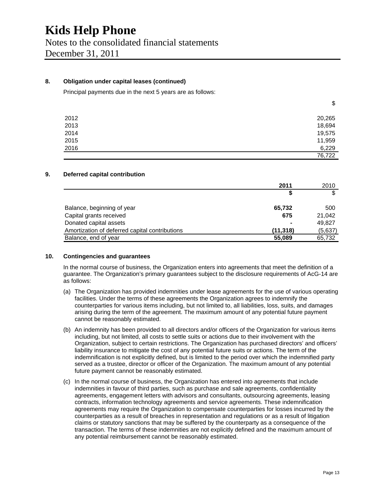December 31, 2011

#### **8. Obligation under capital leases (continued)**

Principal payments due in the next 5 years are as follows:

| 2012 | 20,265 |
|------|--------|
| 2013 | 18,694 |
| 2014 | 19,575 |
| 2015 | 11,959 |
| 2016 | 6,229  |
|      | 76,722 |

#### **9. Deferred capital contribution**

| 2011                                                        |     | 2010    |
|-------------------------------------------------------------|-----|---------|
|                                                             | S   | \$      |
| Balance, beginning of year<br>65,732                        |     | 500     |
| Capital grants received                                     | 675 | 21,042  |
| Donated capital assets                                      |     | 49,827  |
| Amortization of deferred capital contributions<br>(11, 318) |     | (5,637) |
| Balance, end of year<br>55,089                              |     | 65,732  |

#### **10. Contingencies and guarantees**

In the normal course of business, the Organization enters into agreements that meet the definition of a guarantee. The Organization's primary guarantees subject to the disclosure requirements of AcG-14 are as follows:

- (a) The Organization has provided indemnities under lease agreements for the use of various operating facilities. Under the terms of these agreements the Organization agrees to indemnify the counterparties for various items including, but not limited to, all liabilities, loss, suits, and damages arising during the term of the agreement. The maximum amount of any potential future payment cannot be reasonably estimated.
- (b) An indemnity has been provided to all directors and/or officers of the Organization for various items including, but not limited, all costs to settle suits or actions due to their involvement with the Organization, subject to certain restrictions. The Organization has purchased directors' and officers' liability insurance to mitigate the cost of any potential future suits or actions. The term of the indemnification is not explicitly defined, but is limited to the period over which the indemnified party served as a trustee, director or officer of the Organization. The maximum amount of any potential future payment cannot be reasonably estimated.
- (c) In the normal course of business, the Organization has entered into agreements that include indemnities in favour of third parties, such as purchase and sale agreements, confidentiality agreements, engagement letters with advisors and consultants, outsourcing agreements, leasing contracts, information technology agreements and service agreements. These indemnification agreements may require the Organization to compensate counterparties for losses incurred by the counterparties as a result of breaches in representation and regulations or as a result of litigation claims or statutory sanctions that may be suffered by the counterparty as a consequence of the transaction. The terms of these indemnities are not explicitly defined and the maximum amount of any potential reimbursement cannot be reasonably estimated.

\$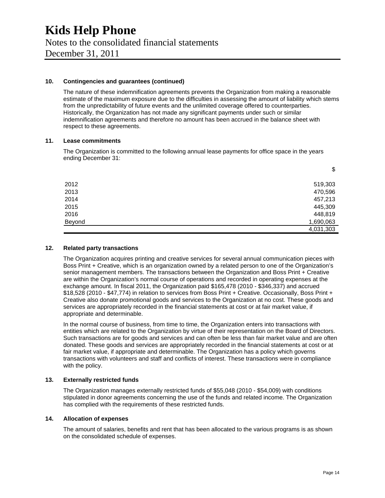### **Kids Help Phone**  Notes to the consolidated financial statements December 31, 2011

#### **10. Contingencies and guarantees (continued)**

The nature of these indemnification agreements prevents the Organization from making a reasonable estimate of the maximum exposure due to the difficulties in assessing the amount of liability which stems from the unpredictability of future events and the unlimited coverage offered to counterparties. Historically, the Organization has not made any significant payments under such or similar indemnification agreements and therefore no amount has been accrued in the balance sheet with respect to these agreements.

#### **11. Lease commitments**

The Organization is committed to the following annual lease payments for office space in the years ending December 31:

| 2012   | 519,303   |
|--------|-----------|
| 2013   | 470,596   |
| 2014   | 457,213   |
| 2015   | 445,309   |
| 2016   | 448,819   |
| Beyond | 1,690,063 |
|        | 4,031,303 |

#### **12. Related party transactions**

The Organization acquires printing and creative services for several annual communication pieces with Boss Print + Creative, which is an organization owned by a related person to one of the Organization's senior management members. The transactions between the Organization and Boss Print + Creative are within the Organization's normal course of operations and recorded in operating expenses at the exchange amount. In fiscal 2011, the Organization paid \$165,478 (2010 - \$346,337) and accrued \$18,528 (2010 - \$47,774) in relation to services from Boss Print + Creative. Occasionally, Boss Print + Creative also donate promotional goods and services to the Organization at no cost. These goods and services are appropriately recorded in the financial statements at cost or at fair market value, if appropriate and determinable.

In the normal course of business, from time to time, the Organization enters into transactions with entities which are related to the Organization by virtue of their representation on the Board of Directors. Such transactions are for goods and services and can often be less than fair market value and are often donated. These goods and services are appropriately recorded in the financial statements at cost or at fair market value, if appropriate and determinable. The Organization has a policy which governs transactions with volunteers and staff and conflicts of interest. These transactions were in compliance with the policy.

#### **13. Externally restricted funds**

The Organization manages externally restricted funds of \$55,048 (2010 - \$54,009) with conditions stipulated in donor agreements concerning the use of the funds and related income. The Organization has complied with the requirements of these restricted funds.

#### **14. Allocation of expenses**

The amount of salaries, benefits and rent that has been allocated to the various programs is as shown on the consolidated schedule of expenses.

\$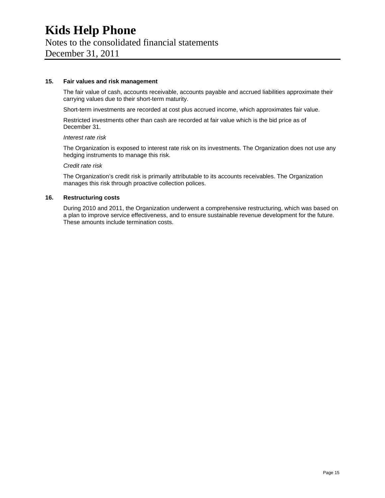### **Kids Help Phone**  Notes to the consolidated financial statements

December 31, 2011

#### **15. Fair values and risk management**

The fair value of cash, accounts receivable, accounts payable and accrued liabilities approximate their carrying values due to their short-term maturity.

Short-term investments are recorded at cost plus accrued income, which approximates fair value.

Restricted investments other than cash are recorded at fair value which is the bid price as of December 31.

#### *Interest rate risk*

The Organization is exposed to interest rate risk on its investments. The Organization does not use any hedging instruments to manage this risk.

#### *Credit rate risk*

The Organization's credit risk is primarily attributable to its accounts receivables. The Organization manages this risk through proactive collection polices.

#### **16. Restructuring costs**

During 2010 and 2011, the Organization underwent a comprehensive restructuring, which was based on a plan to improve service effectiveness, and to ensure sustainable revenue development for the future. These amounts include termination costs.